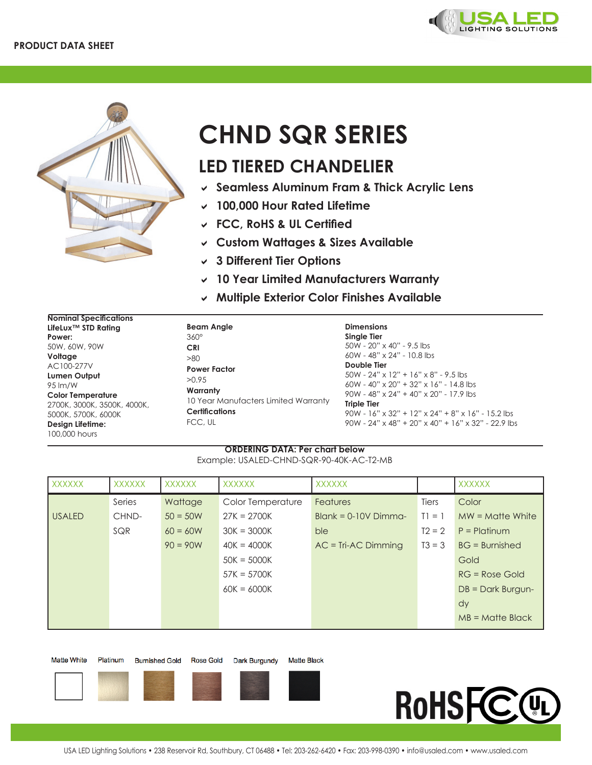



## **CHND SQR SERIES**

## **LED TIERED CHANDELIER**

- D **Seamless Aluminum Fram & Thick Acrylic Lens**
- $\vee$  100,000 Hour Rated Lifetime
- D **FCC, RoHS & UL Certified**
- D **Custom Wattages & Sizes Available**
- D **3 Different Tier Options**
- D **10 Year Limited Manufacturers Warranty**
- D **Multiple Exterior Color Finishes Available**

| <b>Nominal Specifications</b> |                                      |                                                                          |
|-------------------------------|--------------------------------------|--------------------------------------------------------------------------|
| LifeLux™ STD Rating           | <b>Beam Angle</b>                    | <b>Dimensions</b>                                                        |
| Power:                        | $360^\circ$                          | Single Tier                                                              |
| 50W, 60W, 90W                 | <b>CRI</b>                           | $50W - 20'' \times 40'' - 9.5$ lbs                                       |
| Voltage                       | >80                                  | $60W - 48'' \times 24'' - 10.8$ lbs                                      |
| AC100-277V                    | <b>Power Factor</b>                  | Double Tier                                                              |
| Lumen Output                  | >0.95                                | $50W - 24" \times 12" + 16" \times 8" - 9.5$ lbs                         |
| 95 lm/W                       |                                      | $60W - 40'' \times 20'' + 32'' \times 16'' - 14.8$ lbs                   |
| <b>Color Temperature</b>      | Warranty                             | $90W - 48'' \times 24'' + 40'' \times 20'' - 17.9$ lbs                   |
| 2700K, 3000K, 3500K, 4000K,   | 10 Year Manufacters Limited Warranty | <b>Triple Tier</b>                                                       |
| 5000K, 5700K, 6000K           | <b>Certifications</b>                | $90W - 16'' \times 32'' + 12'' \times 24'' + 8'' \times 16'' - 15.2$ lbs |
| Design Lifetime:              | FCC, UL                              | $90W - 24''$ x 48" + 20" x 40" + 16" x 32" - 22.9 lbs                    |
| 100,000 hours                 |                                      |                                                                          |

## **ORDERING DATA: Per chart below** Example: USALED-CHND-SQR-90-40K-AC-T2-MB

| XXXXXX        | <b>XXXXXX</b> | <b>XXXXXX</b> | <b>XXXXXX</b>     | <b>XXXXXX</b>          |          | <b>XXXXXX</b>        |
|---------------|---------------|---------------|-------------------|------------------------|----------|----------------------|
|               | Series        | Wattage       | Color Temperature | <b>Features</b>        | Tiers    | Color                |
| <b>USALED</b> | CHND-         | $50 = 50W$    | $27K = 2700K$     | $Blank = 0-10V$ Dimma- | $TI = 1$ | $MW = Matter White$  |
|               | SQR           | $60 = 60W$    | $30K = 3000K$     | ble                    | $T2 = 2$ | $P =$ Platinum       |
|               |               | $90 = 90W$    | $40K = 4000K$     | $AC = Tri-AC$ Dimming  | $T3 = 3$ | $BG = Burnished$     |
|               |               |               | $50K = 5000K$     |                        |          | Gold                 |
|               |               |               | $57K = 5700K$     |                        |          | $RG = Rose$ Gold     |
|               |               |               | $60K = 6000K$     |                        |          | $DB = Dark Burgun -$ |
|               |               |               |                   |                        |          | dy                   |
|               |               |               |                   |                        |          | $MB = M$ atte Black  |

| <b>Matte White</b> |  |  |
|--------------------|--|--|
|--------------------|--|--|

e Platinum

**Burnished Gold** 

Dark Burgundy **Matte Black**